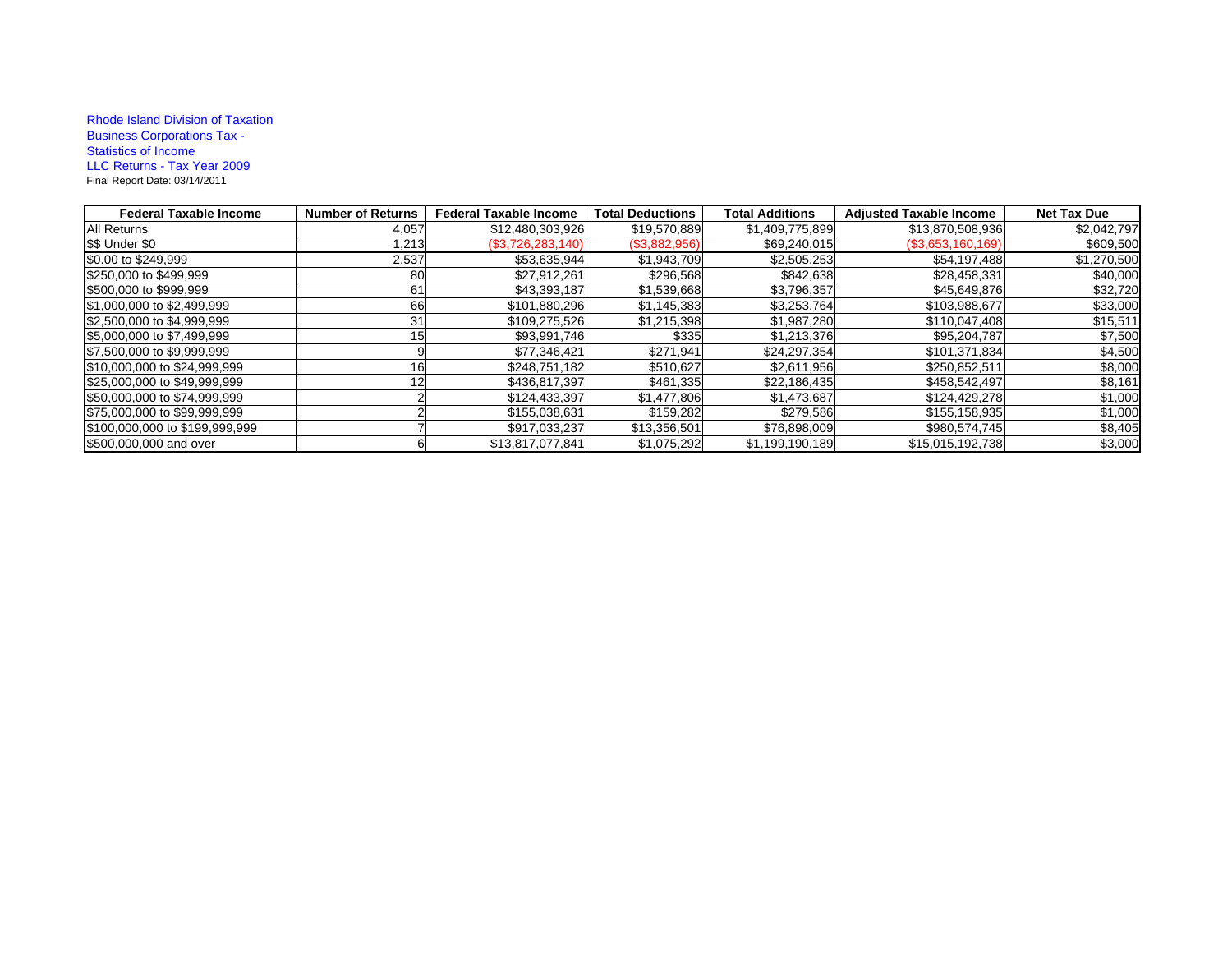## Rhode Island Division of Taxation Business Corporations Tax - Statistics of Income LLC Returns - Tax Year 2009 Final Report Date: 03/14/2011

| <b>Federal Taxable Income</b>  | <b>Number of Returns</b> | <b>Federal Taxable Income</b> | <b>Total Deductions</b> | <b>Total Additions</b> | <b>Adjusted Taxable Income</b> | <b>Net Tax Due</b> |
|--------------------------------|--------------------------|-------------------------------|-------------------------|------------------------|--------------------------------|--------------------|
| <b>All Returns</b>             | 4,057                    | \$12,480,303,926              | \$19,570,889            | \$1,409,775,899        | \$13,870,508,936               | \$2,042,797        |
| \$\$ Under \$0                 | 1,213                    | (\$3,726,283,140)             | (\$3,882,956)           | \$69,240,015           | $($ \$3,653,160,169)           | \$609,500          |
| \$0.00 to \$249,999            | 2,537                    | \$53,635,944                  | \$1,943,709             | \$2,505,253            | \$54,197,488                   | \$1,270,500        |
| \$250,000 to \$499,999         | 80                       | \$27,912,261                  | \$296,568               | \$842,638              | \$28,458,331                   | \$40,000           |
| \$500,000 to \$999,999         | 61                       | \$43,393,187                  | \$1,539,668             | \$3,796,357            | \$45,649,876                   | \$32,720           |
| \$1,000,000 to \$2,499,999     | 66                       | \$101,880,296                 | \$1,145,383             | \$3,253,764            | \$103,988,677                  | \$33,000           |
| \$2,500,000 to \$4,999,999     | 31                       | \$109,275,526                 | \$1,215,398             | \$1,987,280            | \$110,047,408                  | \$15,511           |
| \$5,000,000 to \$7,499,999     | 15                       | \$93,991,746                  | \$335                   | \$1,213,376            | \$95,204,787                   | \$7,500            |
| \$7,500,000 to \$9,999,999     |                          | \$77,346,421                  | \$271,941               | \$24,297,354           | \$101,371,834                  | \$4,500            |
| \$10,000,000 to \$24,999,999   | 16                       | \$248,751,182                 | \$510,627               | \$2,611,956            | \$250,852,511                  | \$8,000            |
| \$25,000,000 to \$49,999,999   |                          | \$436,817,397                 | \$461,335               | \$22,186,435           | \$458,542,497                  | \$8,161            |
| \$50,000,000 to \$74,999,999   |                          | \$124,433,397                 | \$1,477,806             | \$1,473,687            | \$124,429,278                  | \$1,000            |
| \$75,000,000 to \$99,999,999   |                          | \$155,038,631                 | \$159,282               | \$279,586              | \$155,158,935                  | \$1,000            |
| \$100,000,000 to \$199,999,999 |                          | \$917,033,237                 | \$13,356,501            | \$76,898,009           | \$980,574,745                  | \$8,405            |
| \$500,000,000 and over         |                          | \$13,817,077,841              | \$1,075,292             | \$1,199,190,189        | \$15,015,192,738               | \$3,000            |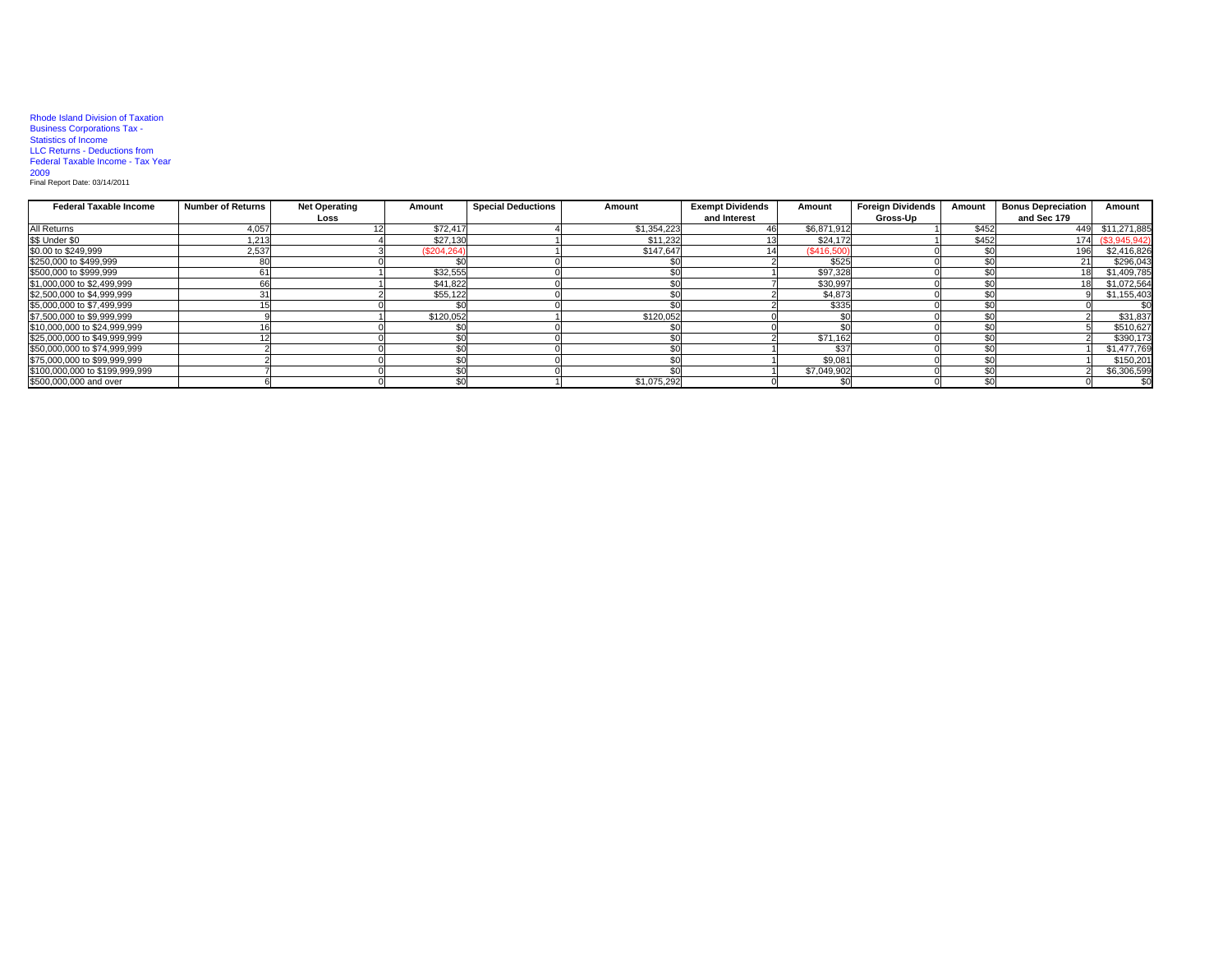## Rhode Island Division of Taxation Business Corporations Tax - Statistics of Income LLC Returns - Deductions from Federal Taxable Income - Tax Year

2009 Final Report Date: 03/14/2011

| <b>Federal Taxable Income</b>  | <b>Number of Returns</b> | <b>Net Operating</b> | Amount     | <b>Special Deductions</b> | Amount      | <b>Exempt Dividends</b><br>Amount |             | <b>Foreign Dividends</b><br>Amount |       | <b>Bonus Depreciation</b> | Amount        |
|--------------------------------|--------------------------|----------------------|------------|---------------------------|-------------|-----------------------------------|-------------|------------------------------------|-------|---------------------------|---------------|
|                                |                          | Loss                 |            |                           |             | and Interest                      |             | Gross-Up                           |       | and Sec 179               |               |
| All Returns                    | 4,057                    |                      | \$72,417   |                           | \$1,354,223 |                                   | \$6,871,912 |                                    | \$452 |                           | \$11,271,885  |
| \$\$ Under \$0                 | 1.213                    |                      | \$27,130   |                           | \$11,232    |                                   | \$24,172    |                                    | \$452 | 174                       | (\$3,945,942) |
| \$0.00 to \$249,999            | 2,537                    |                      | (S204.264) |                           | \$147.647   |                                   | (\$416,500) |                                    |       | 196                       | \$2,416,826   |
| \$250,000 to \$499,999         |                          |                      |            |                           |             |                                   | \$525       |                                    |       |                           | \$296,043     |
| \$500,000 to \$999,999         | ю.                       |                      | \$32,555   |                           |             |                                   | \$97,328    |                                    |       |                           | \$1,409,785   |
| \$1,000,000 to \$2,499,999     |                          |                      | \$41,822   |                           |             |                                   | \$30,997    |                                    |       |                           | \$1,072,564   |
| \$2,500,000 to \$4,999,999     |                          |                      | \$55,122   |                           |             |                                   | \$4,873     |                                    |       |                           | \$1,155,403   |
| \$5,000,000 to \$7,499,999     |                          |                      |            |                           |             |                                   | \$335       |                                    |       |                           | \$0           |
| \$7,500,000 to \$9,999,999     |                          |                      | \$120,052  |                           | \$120,052   |                                   |             |                                    |       |                           | \$31,837      |
| \$10,000,000 to \$24,999,999   |                          |                      |            |                           |             |                                   |             |                                    |       |                           | \$510,627     |
| \$25,000,000 to \$49,999,999   |                          |                      |            |                           |             |                                   | \$71,162    |                                    |       |                           | \$390,173     |
| \$50,000,000 to \$74,999,999   |                          |                      |            |                           |             |                                   | \$37        |                                    |       |                           | \$1,477,769   |
| \$75,000,000 to \$99,999,999   |                          |                      |            |                           |             |                                   | \$9,081     |                                    |       |                           | \$150,201     |
| \$100,000,000 to \$199,999,999 |                          |                      |            |                           |             |                                   | \$7,049,902 |                                    |       |                           | \$6,306,599   |
| \$500,000,000 and over         |                          |                      | \$         |                           | \$1,075,292 |                                   |             |                                    | \$0   |                           | \$0           |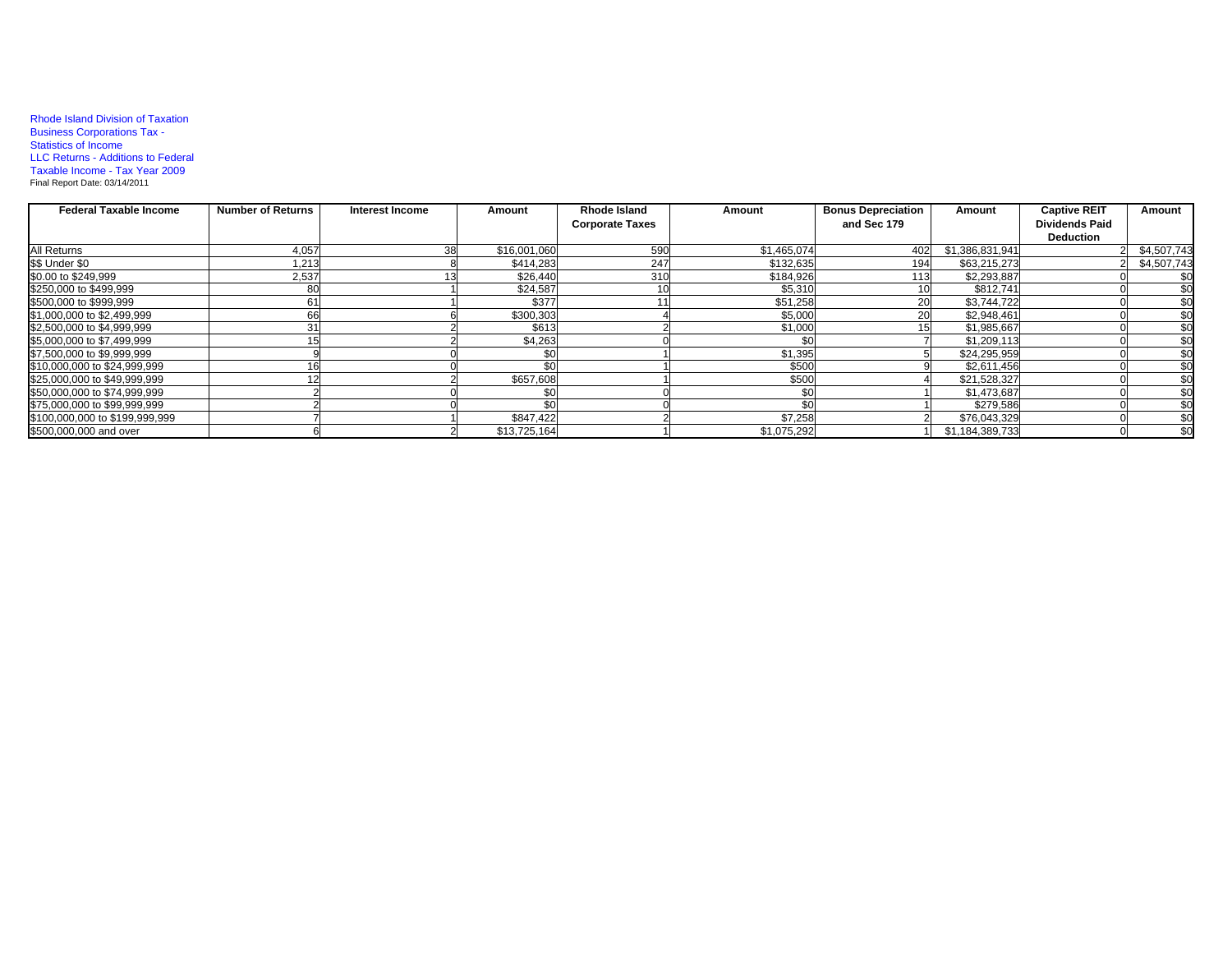## Rhode Island Division of Taxation Business Corporations Tax - Statistics of Income LLC Returns - Additions to Federal Taxable Income - Tax Year 2009 Final Report Date: 03/14/2011

| <b>Federal Taxable Income</b>  | <b>Number of Returns</b> | Interest Income | Amount       | <b>Rhode Island</b>    | Amount      | <b>Bonus Depreciation</b> | Amount          | <b>Captive REIT</b>   | Amount      |
|--------------------------------|--------------------------|-----------------|--------------|------------------------|-------------|---------------------------|-----------------|-----------------------|-------------|
|                                |                          |                 |              | <b>Corporate Taxes</b> |             | and Sec 179               |                 | <b>Dividends Paid</b> |             |
|                                |                          |                 |              |                        |             |                           |                 | <b>Deduction</b>      |             |
| All Returns                    | 4,057                    |                 | \$16,001,060 | 590                    | \$1,465,074 | 402                       | \$1,386,831,941 |                       | \$4,507,743 |
| \$\$ Under \$0                 | 1,213                    |                 | \$414,283    | 247                    | \$132,635   | 194                       | \$63,215,273    |                       | \$4,507,743 |
| \$0.00 to \$249,999            | 2,537                    |                 | \$26,440     | 310                    | \$184,926   | 113                       | \$2,293,887     |                       | \$0         |
| \$250,000 to \$499,999         | 80                       |                 | \$24.587     |                        | \$5,310     |                           | \$812,741       |                       | \$0         |
| \$500,000 to \$999,999         | 61                       |                 | \$377        |                        | \$51,258    | 20                        | \$3,744,722     |                       | \$0         |
| \$1,000,000 to \$2,499,999     | 66                       |                 | \$300,303    |                        | \$5,000     | <b>20</b>                 | \$2,948,461     |                       | \$0         |
| \$2,500,000 to \$4,999,999     | 31                       |                 | \$613        |                        | \$1,000     | 15                        | \$1,985,667     |                       | \$0         |
| \$5,000,000 to \$7,499,999     |                          |                 | \$4,263      |                        |             |                           | \$1,209,113     |                       | \$0         |
| \$7,500,000 to \$9,999,999     |                          |                 |              |                        | \$1,395     |                           | \$24,295,959    |                       | \$0         |
| \$10,000,000 to \$24,999,999   |                          |                 |              |                        | \$500       |                           | \$2.611.456     |                       | \$0         |
| \$25,000,000 to \$49,999,999   |                          |                 | \$657,608    |                        | \$500       |                           | \$21,528,327    |                       | \$0         |
| \$50,000,000 to \$74,999,999   |                          |                 |              |                        |             |                           | \$1,473,687     |                       | \$0         |
| \$75,000,000 to \$99,999,999   |                          |                 |              |                        |             |                           | \$279,586       |                       | \$0         |
| \$100,000,000 to \$199,999,999 |                          |                 | \$847,422    |                        | \$7,258     |                           | \$76,043,329    |                       | \$0         |
| \$500,000,000 and over         |                          |                 | \$13,725,164 |                        | \$1,075,292 |                           | \$1,184,389,733 |                       | \$0         |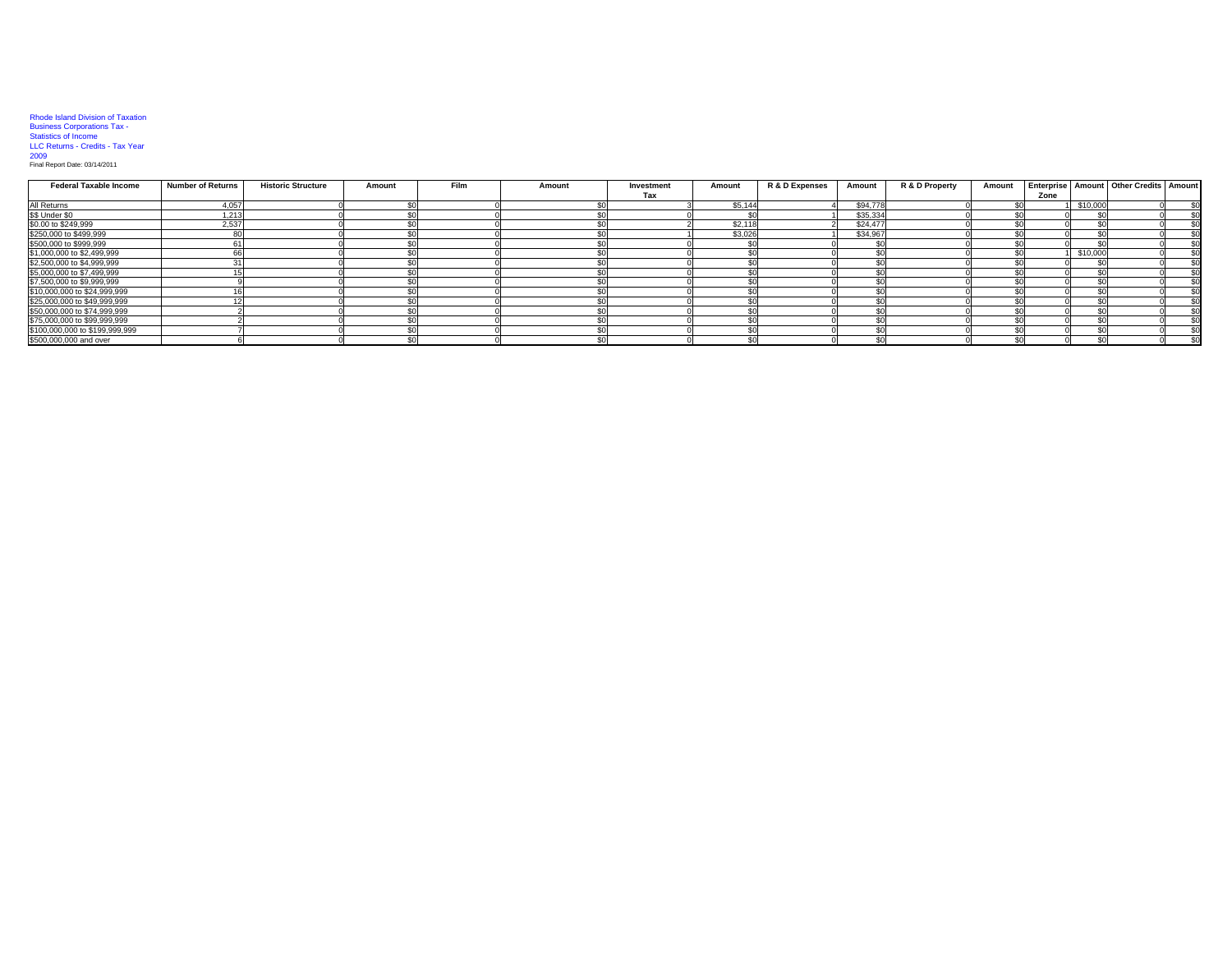## Rhode Island Division of Taxation Business Corporations Tax - Statistics of Income LLC Returns - Credits - Tax Year

2009 Final Report Date: 03/14/2011

| <b>Federal Taxable Income</b>  | Number of Returns | <b>Historic Structure</b> | Amount | <b>Film</b> | Amount | Investment | Amount  | R & D Expenses | Amount   | R & D Property | Amount |      |          | <b>Enterprise Amount Other Credits Amount</b> |     |
|--------------------------------|-------------------|---------------------------|--------|-------------|--------|------------|---------|----------------|----------|----------------|--------|------|----------|-----------------------------------------------|-----|
|                                |                   |                           |        |             |        | Tax        |         |                |          |                |        | Zone |          |                                               |     |
| All Returns                    | 4,057             |                           |        |             |        |            | \$5.14  |                | \$94,778 |                |        |      | \$10,000 |                                               | \$0 |
| \$\$ Under \$0                 | 1,213             |                           |        |             |        |            |         |                | \$35,334 |                |        |      |          |                                               | \$0 |
| \$0.00 to \$249,999            | 2.537             |                           |        |             |        |            | \$2,118 |                | \$24,477 |                |        |      |          |                                               | \$0 |
| \$250,000 to \$499,999         |                   |                           |        |             |        |            | \$3,026 |                | \$34,967 |                |        |      |          |                                               | \$0 |
| \$500,000 to \$999,999         |                   |                           |        |             |        |            |         |                |          |                |        |      |          |                                               | \$0 |
| \$1,000,000 to \$2,499,999     |                   |                           |        |             |        |            |         |                |          |                |        |      | \$10,000 |                                               | \$0 |
| \$2,500,000 to \$4,999,999     |                   |                           |        |             |        |            |         |                |          |                |        |      |          |                                               | \$0 |
| \$5,000,000 to \$7,499,999     |                   |                           |        |             |        |            |         |                |          |                |        |      |          |                                               | \$0 |
| \$7,500,000 to \$9,999,999     |                   |                           |        |             |        |            |         |                |          |                |        |      |          |                                               | \$0 |
| \$10,000,000 to \$24,999,999   |                   |                           |        |             |        |            |         |                |          |                |        |      |          |                                               | \$0 |
| \$25,000,000 to \$49,999,999   |                   |                           |        |             |        |            |         |                |          |                |        |      |          |                                               | \$0 |
| \$50,000,000 to \$74,999,999   |                   |                           |        |             |        |            |         |                |          |                |        |      |          |                                               | \$0 |
| \$75,000,000 to \$99,999,999   |                   |                           |        |             |        |            |         |                |          |                |        |      |          |                                               | \$0 |
| \$100,000,000 to \$199,999,999 |                   |                           |        |             |        |            |         |                |          |                |        |      |          |                                               | \$0 |
| \$500,000,000 and over         |                   |                           |        |             |        |            |         |                |          |                |        |      |          |                                               | \$0 |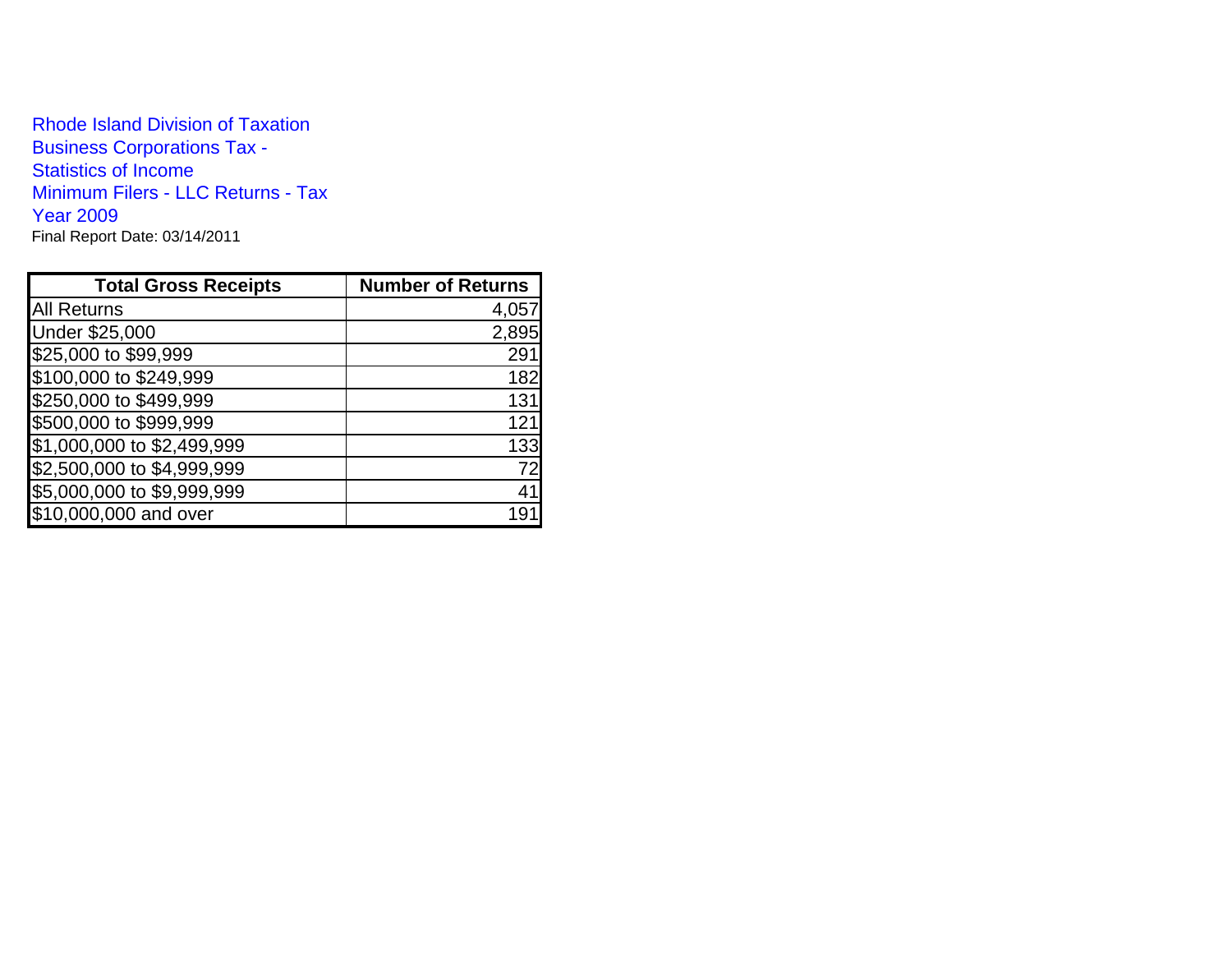Rhode Island Division of TaxationBusiness Corporations Tax - Statistics of Income Minimum Filers - LLC Returns - Tax Year 2009Final Report Date: 03/14/2011

| <b>Total Gross Receipts</b> | <b>Number of Returns</b> |
|-----------------------------|--------------------------|
| <b>All Returns</b>          | 4,057                    |
| <b>Under \$25,000</b>       | 2,895                    |
| \$25,000 to \$99,999        | 29 <sup>4</sup>          |
| \$100,000 to \$249,999      | 182                      |
| \$250,000 to \$499,999      | 131                      |
| \$500,000 to \$999,999      | 121                      |
| \$1,000,000 to \$2,499,999  | 133                      |
| \$2,500,000 to \$4,999,999  | 72                       |
| \$5,000,000 to \$9,999,999  | 41                       |
| \$10,000,000 and over       | 19                       |